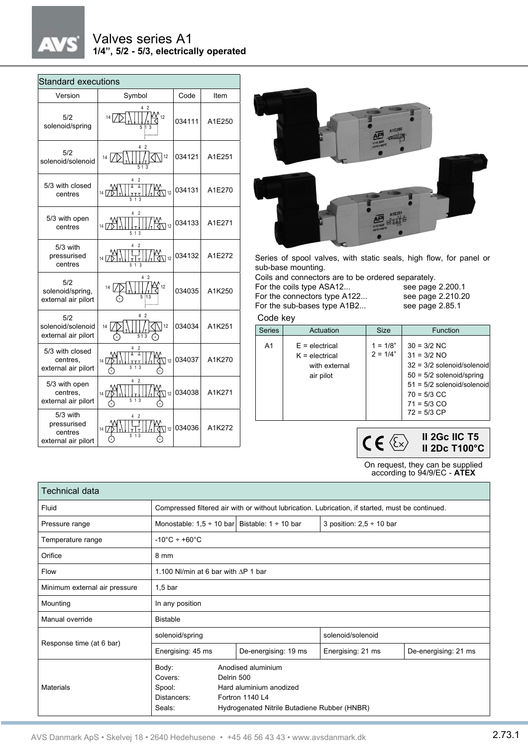# $\lambda$

## Valves series A1 **1/4", 5/2 - 5/3, electrically operated**

| <b>Standard executions</b>                                |                                                           |        |        |  |  |  |  |
|-----------------------------------------------------------|-----------------------------------------------------------|--------|--------|--|--|--|--|
| Version                                                   | Symbol                                                    | Code   | Item   |  |  |  |  |
| 5/2<br>solenoid/spring                                    | 42<br>$\mathfrak{L}_{12}$<br>14                           | 034111 | A1E250 |  |  |  |  |
| 5/2<br>solenoid/solenoid                                  | 4<br>$\overline{2}$<br>12<br>14<br>513                    | 034121 | A1E251 |  |  |  |  |
| 5/3 with closed<br>centres                                | 14 $\overrightarrow{D}$<br>$\sqrt[4]{112}$                | 034131 | A1E270 |  |  |  |  |
| 5/3 with open<br>centres                                  | 2<br>$\frac{14}{14}$<br>$\frac{1}{2}$ $\frac{1}{2}$<br>13 | 034133 | A1E271 |  |  |  |  |
| $5/3$ with<br>pressurised<br>centres                      | Δ<br>$14\sqrt{D}$<br>$\big\{1\leq n\leq n\big\}$<br>51    | 034132 | A1E272 |  |  |  |  |
| 5/2<br>solenoid/spring,<br>external air pilort            | 4<br>$\overline{c}$<br>12<br>14                           | 034035 | A1K250 |  |  |  |  |
| 5/2<br>solenoid/solenoid<br>external air pilort           | 4 <sup>2</sup><br>12<br>14<br>513                         | 034034 | A1K251 |  |  |  |  |
| 5/3 with closed<br>centres.<br>external air pilort        | $\overline{2}$<br>$\nabla$ 12<br>14 I 7                   | 034037 | A1K270 |  |  |  |  |
| 5/3 with open<br>centres.<br>external air pilort          | $\overline{2}$<br>4<br>$\sqrt{112}$<br>14 I7              | 034038 | A1K271 |  |  |  |  |
| 5/3 with<br>pressurised<br>centres<br>external air pilort | $\sqrt{12}$<br>14 $\Box$                                  | 034036 | A1K272 |  |  |  |  |



Series of spool valves, with static seals, high flow, for panel or sub-base mounting.

Coils and connectors are to be ordered separately.<br>For the coils type ASA12... see page 2.200.1 For the coils type ASA12...<br>For the connectors type A122... see page 2.210.20

For the connectors type A122... see page 2.210.<br>For the sub-bases type A1B2... see page 2.85.1 For the sub-bases type A1B2...

#### Code key

| <b>Series</b>  | Actuation                                                          | <b>Size</b>               | <b>Function</b>                                                                                                                                                |
|----------------|--------------------------------------------------------------------|---------------------------|----------------------------------------------------------------------------------------------------------------------------------------------------------------|
| A <sub>1</sub> | $E =$ electrical<br>$K =$ electrical<br>with external<br>air pilot | $1 = 1/8$ "<br>$2 = 1/4"$ | $30 = 3/2$ NC<br>$31 = 3/2$ NO<br>$32 = 3/2$ solenoid/solenoid<br>$50 = 5/2$ solenoid/spring<br>$51 = 5/2$ solenoid/solenoid<br>$70 = 5/3$ CC<br>$71 = 5/3$ CO |
|                |                                                                    |                           | $72 = 5/3$ CP                                                                                                                                                  |

 $CE \&$ **II 2Gc IIC T5 II 2Dc T100°C**

On request, they can be supplied according to 94/9/EC - **ATEX**

| Technical data                |                                                                                                  |                                                                                                                                |                   |                      |  |  |
|-------------------------------|--------------------------------------------------------------------------------------------------|--------------------------------------------------------------------------------------------------------------------------------|-------------------|----------------------|--|--|
| Fluid                         | Compressed filtered air with or without lubrication. Lubrication, if started, must be continued. |                                                                                                                                |                   |                      |  |  |
| Pressure range                | Monostable: $1.5 \div 10$ bar Bistable: $1 \div 10$ bar<br>3 position: $2,5 \div 10$ bar         |                                                                                                                                |                   |                      |  |  |
| Temperature range             | $-10^{\circ}$ C ÷ +60 $^{\circ}$ C                                                               |                                                                                                                                |                   |                      |  |  |
| Orifice                       | 8 mm                                                                                             |                                                                                                                                |                   |                      |  |  |
| Flow                          | 1.100 NI/min at 6 bar with $\triangle$ P 1 bar                                                   |                                                                                                                                |                   |                      |  |  |
| Minimum external air pressure | $1,5$ bar                                                                                        |                                                                                                                                |                   |                      |  |  |
| Mounting                      | In any position                                                                                  |                                                                                                                                |                   |                      |  |  |
| Manual override               | <b>Bistable</b>                                                                                  |                                                                                                                                |                   |                      |  |  |
| Response time (at 6 bar)      | solenoid/spring                                                                                  |                                                                                                                                | solenoid/solenoid |                      |  |  |
|                               | Energising: 45 ms                                                                                | De-energising: 19 ms                                                                                                           | Energising: 21 ms | De-energising: 21 ms |  |  |
| Materials                     | Body:<br>Covers:<br>Spool:<br>Distancers:<br>Seals:                                              | Anodised aluminium<br>Delrin 500<br>Hard aluminium anodized<br>Fortron 1140 L4<br>Hydrogenated Nitrile Butadiene Rubber (HNBR) |                   |                      |  |  |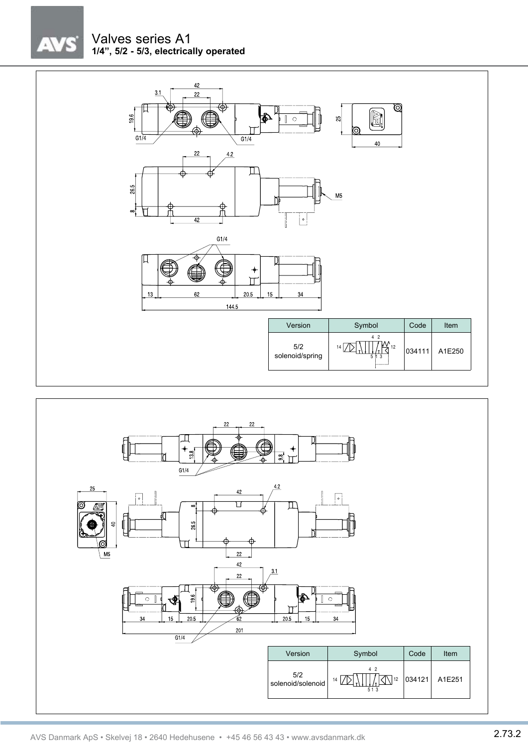



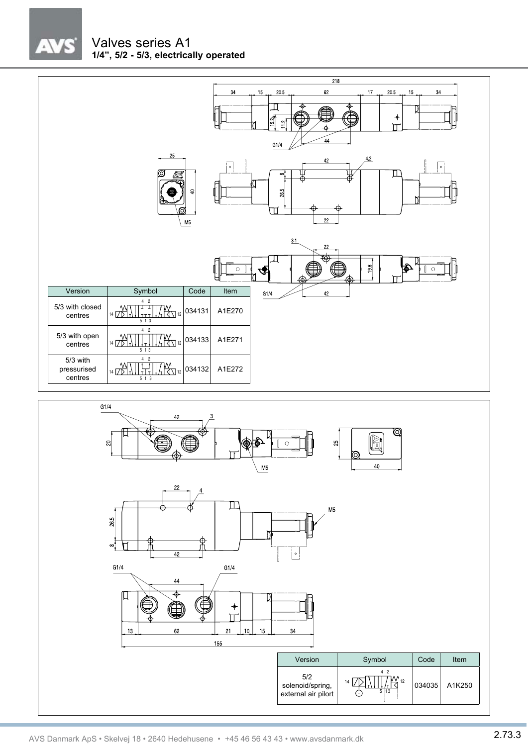$\sqrt{7}$ 

## Valves series A1 **1/4", 5/2 - 5/3, electrically operated**